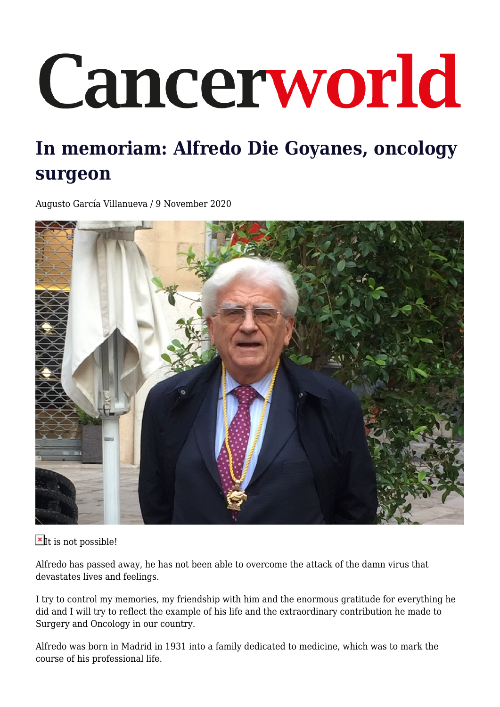## Cancerworld

## **In memoriam: Alfredo Die Goyanes, oncology surgeon**

Augusto García Villanueva / 9 November 2020



 $\mathbf{X}$ It is not possible!

Alfredo has passed away, he has not been able to overcome the attack of the damn virus that devastates lives and feelings.

I try to control my memories, my friendship with him and the enormous gratitude for everything he did and I will try to reflect the example of his life and the extraordinary contribution he made to Surgery and Oncology in our country.

Alfredo was born in Madrid in 1931 into a family dedicated to medicine, which was to mark the course of his professional life.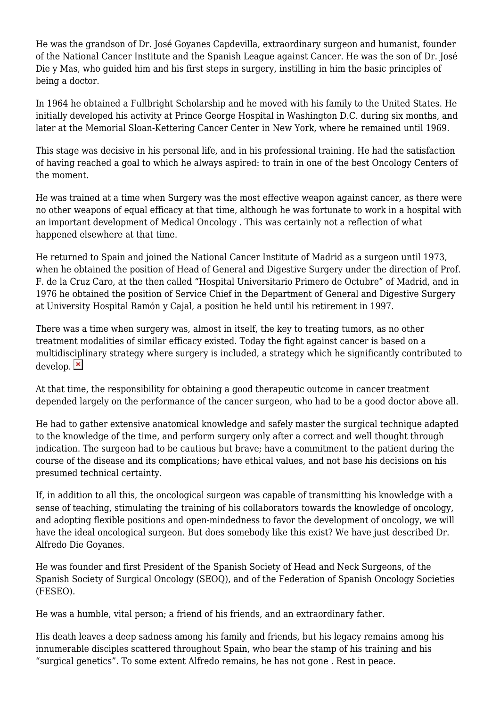He was the grandson of Dr. José Goyanes Capdevilla, extraordinary surgeon and humanist, founder of the National Cancer Institute and the Spanish League against Cancer. He was the son of Dr. José Die y Mas, who guided him and his first steps in surgery, instilling in him the basic principles of being a doctor.

In 1964 he obtained a Fullbright Scholarship and he moved with his family to the United States. He initially developed his activity at Prince George Hospital in Washington D.C. during six months, and later at the Memorial Sloan-Kettering Cancer Center in New York, where he remained until 1969.

This stage was decisive in his personal life, and in his professional training. He had the satisfaction of having reached a goal to which he always aspired: to train in one of the best Oncology Centers of the moment.

He was trained at a time when Surgery was the most effective weapon against cancer, as there were no other weapons of equal efficacy at that time, although he was fortunate to work in a hospital with an important development of Medical Oncology . This was certainly not a reflection of what happened elsewhere at that time.

He returned to Spain and joined the National Cancer Institute of Madrid as a surgeon until 1973, when he obtained the position of Head of General and Digestive Surgery under the direction of Prof. F. de la Cruz Caro, at the then called "Hospital Universitario Primero de Octubre" of Madrid, and in 1976 he obtained the position of Service Chief in the Department of General and Digestive Surgery at University Hospital Ramón y Cajal, a position he held until his retirement in 1997.

There was a time when surgery was, almost in itself, the key to treating tumors, as no other treatment modalities of similar efficacy existed. Today the fight against cancer is based on a multidisciplinary strategy where surgery is included, a strategy which he significantly contributed to develop.  $\vert \mathbf{x} \vert$ 

At that time, the responsibility for obtaining a good therapeutic outcome in cancer treatment depended largely on the performance of the cancer surgeon, who had to be a good doctor above all.

He had to gather extensive anatomical knowledge and safely master the surgical technique adapted to the knowledge of the time, and perform surgery only after a correct and well thought through indication. The surgeon had to be cautious but brave; have a commitment to the patient during the course of the disease and its complications; have ethical values, and not base his decisions on his presumed technical certainty.

If, in addition to all this, the oncological surgeon was capable of transmitting his knowledge with a sense of teaching, stimulating the training of his collaborators towards the knowledge of oncology, and adopting flexible positions and open-mindedness to favor the development of oncology, we will have the ideal oncological surgeon. But does somebody like this exist? We have just described Dr. Alfredo Die Goyanes.

He was founder and first President of the Spanish Society of Head and Neck Surgeons, of the Spanish Society of Surgical Oncology (SEOQ), and of the Federation of Spanish Oncology Societies (FESEO).

He was a humble, vital person; a friend of his friends, and an extraordinary father.

His death leaves a deep sadness among his family and friends, but his legacy remains among his innumerable disciples scattered throughout Spain, who bear the stamp of his training and his "surgical genetics". To some extent Alfredo remains, he has not gone . Rest in peace.